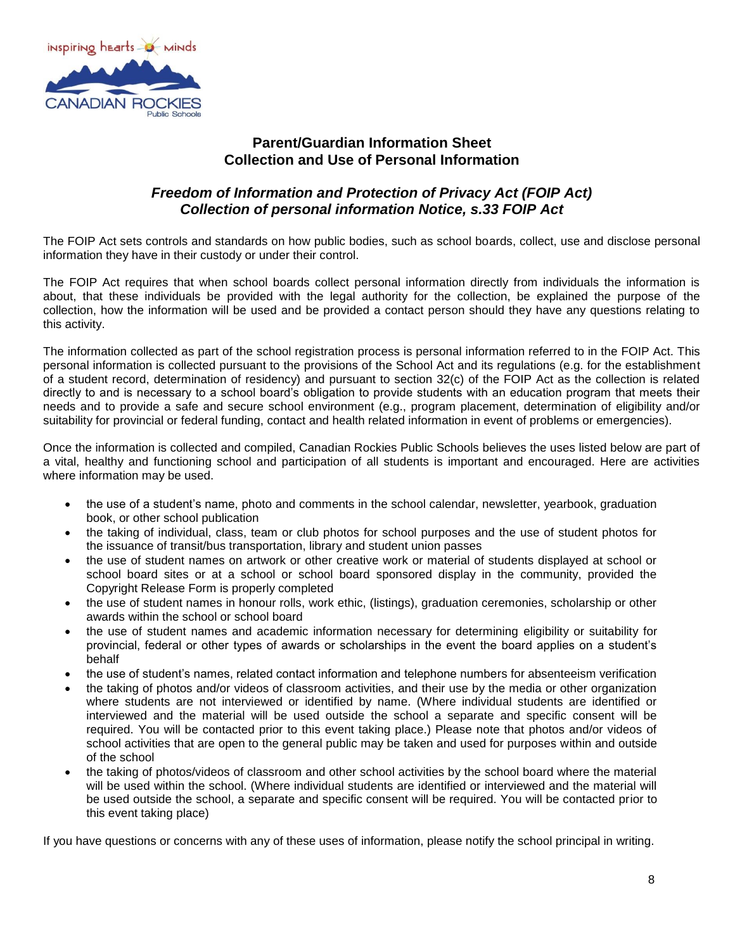

## **Parent/Guardian Information Sheet Collection and Use of Personal Information**

## *Freedom of Information and Protection of Privacy Act (FOIP Act) Collection of personal information Notice, s.33 FOIP Act*

The FOIP Act sets controls and standards on how public bodies, such as school boards, collect, use and disclose personal information they have in their custody or under their control.

The FOIP Act requires that when school boards collect personal information directly from individuals the information is about, that these individuals be provided with the legal authority for the collection, be explained the purpose of the collection, how the information will be used and be provided a contact person should they have any questions relating to this activity.

The information collected as part of the school registration process is personal information referred to in the FOIP Act. This personal information is collected pursuant to the provisions of the School Act and its regulations (e.g. for the establishment of a student record, determination of residency) and pursuant to section 32(c) of the FOIP Act as the collection is related directly to and is necessary to a school board's obligation to provide students with an education program that meets their needs and to provide a safe and secure school environment (e.g., program placement, determination of eligibility and/or suitability for provincial or federal funding, contact and health related information in event of problems or emergencies).

Once the information is collected and compiled, Canadian Rockies Public Schools believes the uses listed below are part of a vital, healthy and functioning school and participation of all students is important and encouraged. Here are activities where information may be used.

- the use of a student's name, photo and comments in the school calendar, newsletter, yearbook, graduation book, or other school publication
- the taking of individual, class, team or club photos for school purposes and the use of student photos for the issuance of transit/bus transportation, library and student union passes
- the use of student names on artwork or other creative work or material of students displayed at school or school board sites or at a school or school board sponsored display in the community, provided the Copyright Release Form is properly completed
- the use of student names in honour rolls, work ethic, (listings), graduation ceremonies, scholarship or other awards within the school or school board
- the use of student names and academic information necessary for determining eligibility or suitability for provincial, federal or other types of awards or scholarships in the event the board applies on a student's behalf
- the use of student's names, related contact information and telephone numbers for absenteeism verification
- the taking of photos and/or videos of classroom activities, and their use by the media or other organization where students are not interviewed or identified by name. (Where individual students are identified or interviewed and the material will be used outside the school a separate and specific consent will be required. You will be contacted prior to this event taking place.) Please note that photos and/or videos of school activities that are open to the general public may be taken and used for purposes within and outside of the school
- the taking of photos/videos of classroom and other school activities by the school board where the material will be used within the school. (Where individual students are identified or interviewed and the material will be used outside the school, a separate and specific consent will be required. You will be contacted prior to this event taking place)

If you have questions or concerns with any of these uses of information, please notify the school principal in writing.